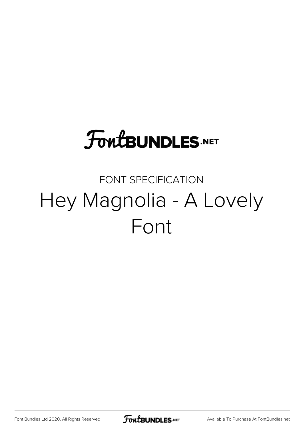## **FoutBUNDLES.NET**

## FONT SPECIFICATION Hey Magnolia - A Lovely Font

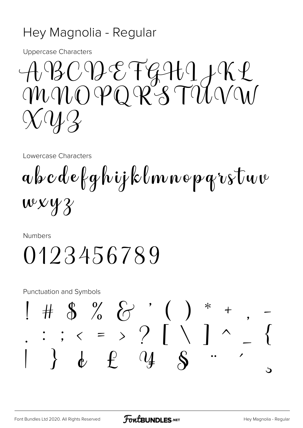## Hey Magnolia - Regular

**Uppercase Characters** 

ABCDEFGHIJKL  $\chi$   $\mathcal{U}$   $\mathcal{Y}$ 

Lowercase Characters

 $a$  b  $c$  d e f g h i j k l m n e p g r s t u v  $wxyz$ 

Numbers

## 0123456789

**Punctuation and Symbols** 

$$
1 + 8 \% \frac{1}{2} \cdot \frac{1}{2} \cdot \frac{1}{2} \cdot \frac{1}{2} \cdot \frac{1}{2} \cdot \frac{1}{2} \cdot \frac{1}{2} \cdot \frac{1}{2} \cdot \frac{1}{2} \cdot \frac{1}{2} \cdot \frac{1}{2} \cdot \frac{1}{2} \cdot \frac{1}{2} \cdot \frac{1}{2} \cdot \frac{1}{2} \cdot \frac{1}{2} \cdot \frac{1}{2} \cdot \frac{1}{2} \cdot \frac{1}{2} \cdot \frac{1}{2} \cdot \frac{1}{2} \cdot \frac{1}{2} \cdot \frac{1}{2} \cdot \frac{1}{2} \cdot \frac{1}{2} \cdot \frac{1}{2} \cdot \frac{1}{2} \cdot \frac{1}{2} \cdot \frac{1}{2} \cdot \frac{1}{2} \cdot \frac{1}{2} \cdot \frac{1}{2} \cdot \frac{1}{2} \cdot \frac{1}{2} \cdot \frac{1}{2} \cdot \frac{1}{2} \cdot \frac{1}{2} \cdot \frac{1}{2} \cdot \frac{1}{2} \cdot \frac{1}{2} \cdot \frac{1}{2} \cdot \frac{1}{2} \cdot \frac{1}{2} \cdot \frac{1}{2} \cdot \frac{1}{2} \cdot \frac{1}{2} \cdot \frac{1}{2} \cdot \frac{1}{2} \cdot \frac{1}{2} \cdot \frac{1}{2} \cdot \frac{1}{2} \cdot \frac{1}{2} \cdot \frac{1}{2} \cdot \frac{1}{2} \cdot \frac{1}{2} \cdot \frac{1}{2} \cdot \frac{1}{2} \cdot \frac{1}{2} \cdot \frac{1}{2} \cdot \frac{1}{2} \cdot \frac{1}{2} \cdot \frac{1}{2} \cdot \frac{1}{2} \cdot \frac{1}{2} \cdot \frac{1}{2} \cdot \frac{1}{2} \cdot \frac{1}{2} \cdot \frac{1}{2} \cdot \frac{1}{2} \cdot \frac{1}{2} \cdot \frac{1}{2} \cdot \frac{1}{2} \cdot \frac{1}{2} \cdot \frac{1}{2} \cdot \frac{1}{2} \cdot \frac{1}{2} \cdot \frac{1}{2} \cdot \frac{1}{2} \cdot \frac{1}{2} \cdot \frac{1}{2} \cdot \frac{1}{2} \cdot \frac{1}{2} \cdot \frac{1}{2} \cdot \frac{1}{2} \cdot
$$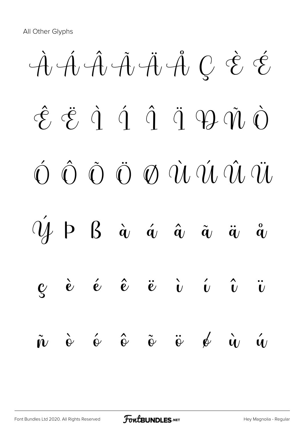À Á Â Ã Ä Å Ç È É  $\hat{\mathcal{E}}$   $\ddot{\mathcal{E}}$   $\dot{\mathcal{C}}$   $\dot{\mathcal{C}}$   $\dot{\mathcal{C}}$   $\dot{\mathcal{C}}$   $\dot{\mathcal{C}}$   $\dot{\mathcal{C}}$   $\dot{\mathcal{C}}$   $\dot{\mathcal{C}}$   $\dot{\mathcal{C}}$   $\dot{\mathcal{C}}$   $\dot{\mathcal{C}}$   $\dot{\mathcal{C}}$   $\dot{\mathcal{C}}$   $\dot{\mathcal{C}}$   $\dot{\mathcal{C}}$   $\dot{\mathcal{C}}$   $\dot{\mathcal{C}}$   $\dot{\mathcal{C}}$   $\hat{O}$   $\hat{O}$   $\hat{O}$   $\hat{O}$   $\hat{O}$   $\hat{U}$   $\hat{U}$   $\hat{U}$   $\hat{U}$  $\mathcal{U}$  p  $\beta$  à á á  $\hat{a}$   $\hat{a}$   $\hat{a}$   $\hat{a}$  $\mathbf{c}$  è é  $\hat{\mathbf{e}}$  ë  $\mathbf{\ddot{e}}$   $\mathbf{\ddot{e}}$   $\mathbf{\ddot{e}}$   $\mathbf{\ddot{e}}$   $\mathbf{\ddot{e}}$   $\mathbf{\ddot{e}}$  $\tilde{n}$   $\dot{\rm e}$   $\acute{\rm e}$   $\tilde{\rm e}$   $\tilde{\rm e}$   $\ddot{\rm e}$   $\acute{\rm e}$   $\acute{\rm e}$   $\acute{\rm e}$   $\dot{\acute{\rm e}}$   $\acute{\rm e}$   $\ddot{\acute{\rm e}}$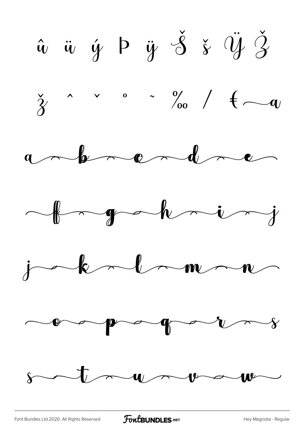$\hat{u}$   $\ddot{u}$   $\dot{y}$   $\beta$   $\ddot{s}$   $\ddot{y}$   $\ddot{z}$  $\frac{1}{3}$   $\sim$   $\frac{1}{3}$   $\sim$   $\frac{9}{00}$   $\frac{1}{1}$   $\leftarrow$   $\frac{1}{3}$  $a \sim b \sim c \sim d \sim c$ forgadening  $j-k-1-m- n$  $\sim$  programs  $s$  trunt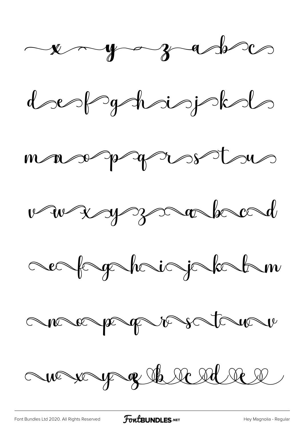











ave very of the reduce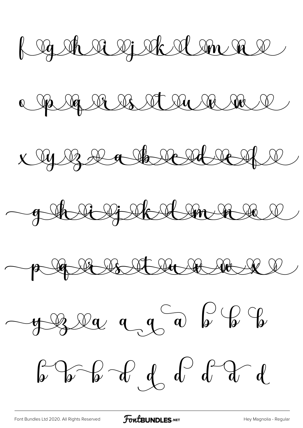Rogat a galandar

a paga a a strunda

x 9 13 2 a to real real







 $\int_{\mathcal{V}} \int_{\mathcal{V}} \int_{\mathcal{V}} \int_{\mathcal{V}} \int_{\mathcal{V}} \int_{\mathcal{V}} \int_{\mathcal{V}} \int_{\mathcal{V}} \int_{\mathcal{V}} \int_{\mathcal{V}} \int_{\mathcal{V}} \int_{\mathcal{V}} \int_{\mathcal{V}} \int_{\mathcal{V}} \int_{\mathcal{V}} \int_{\mathcal{V}} \int_{\mathcal{V}} \int_{\mathcal{V}} \int_{\mathcal{V}} \int_{\mathcal{V}} \int_{\mathcal{V}} \int_{\mathcal{V}} \int_{\mathcal{V}} \int_{\mathcal{V}} \int_{\$ 

[Font Bundles Ltd 2020. All Rights Reserved](https://fontbundles.net/) **FoutBUNDLES.NET** [Hey Magnolia - Regular](https://fontbundles.net/)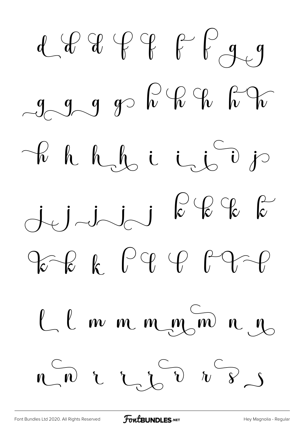